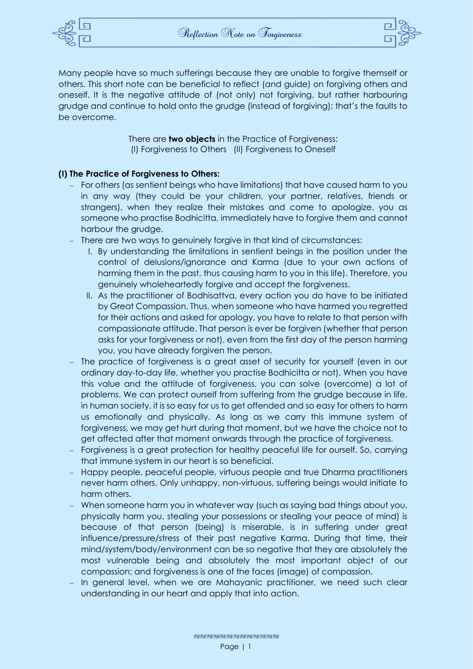



Many people have so much sufferings because they are unable to forgive themself or others. This short note can be beneficial to reflect (and guide) on forgiving others and oneself. It is the negative attitude of (not only) not forgiving, but rather harbouring grudge and continue to hold onto the grudge (instead of forgiving); that's the faults to be overcome.

> There are **two objects** in the Practice of Forgiveness: (I) Forgiveness to Others (II) Forgiveness to Oneself

## **(I) The Practice of Forgiveness to Others:**

- − For others (as sentient beings who have limitations) that have caused harm to you in any way (they could be your children, your partner, relatives, friends or strangers), when they realize their mistakes and come to apologize, you as someone who practise Bodhicitta, immediately have to forgive them and cannot harbour the grudge.
- − There are two ways to genuinely forgive in that kind of circumstances:
	- I. By understanding the limitations in sentient beings in the position under the control of delusions/ignorance and Karma (due to your own actions of harming them in the past, thus causing harm to you in this life). Therefore, you genuinely wholeheartedly forgive and accept the forgiveness.
	- II. As the practitioner of Bodhisattva, every action you do have to be initiated by Great Compassion. Thus, when someone who have harmed you regretted for their actions and asked for apology, you have to relate to that person with compassionate attitude. That person is ever be forgiven (whether that person asks for your forgiveness or not), even from the first day of the person harming you, you have already forgiven the person.
- − The practice of forgiveness is a great asset of security for yourself (even in our ordinary day-to-day life, whether you practise Bodhicitta or not). When you have this value and the attitude of forgiveness, you can solve (overcome) a lot of problems. We can protect ourself from suffering from the grudge because in life, in human society, it is so easy for us to get offended and so easy for others to harm us emotionally and physically. As long as we carry this immune system of forgiveness, we may get hurt during that moment, but we have the choice not to get affected after that moment onwards through the practice of forgiveness.
- Forgiveness is a great protection for healthy peaceful life for ourself. So, carrying that immune system in our heart is so beneficial.
- − Happy people, peaceful people, virtuous people and true Dharma practitioners never harm others. Only unhappy, non-virtuous, suffering beings would initiate to harm others.
- When someone harm you in whatever way (such as saying bad things about you, physically harm you, stealing your possessions or stealing your peace of mind) is because of that person (being) is miserable, is in suffering under great influence/pressure/stress of their past negative Karma. During that time, their mind/system/body/environment can be so negative that they are absolutely the most vulnerable being and absolutely the most important object of our compassion; and forgiveness is one of the faces (image) of compassion.
- In general level, when we are Mahayanic practitioner, we need such clear understanding in our heart and apply that into action.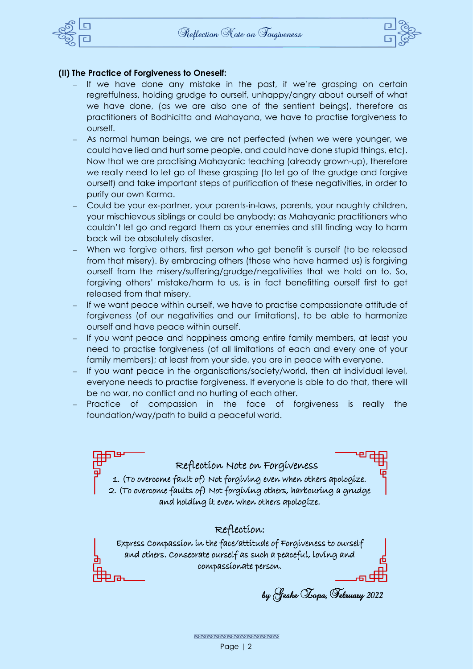



## **(II) The Practice of Forgiveness to Oneself:**

- If we have done any mistake in the past, if we're grasping on certain regretfulness, holding grudge to ourself, unhappy/angry about ourself of what we have done, (as we are also one of the sentient beings), therefore as practitioners of Bodhicitta and Mahayana, we have to practise forgiveness to ourself.
- As normal human beings, we are not perfected (when we were younger, we could have lied and hurt some people, and could have done stupid things, etc). Now that we are practising Mahayanic teaching (already grown-up), therefore we really need to let go of these grasping (to let go of the grudge and forgive ourself) and take important steps of purification of these negativities, in order to purify our own Karma.
- − Could be your ex-partner, your parents-in-laws, parents, your naughty children, your mischievous siblings or could be anybody; as Mahayanic practitioners who couldn't let go and regard them as your enemies and still finding way to harm back will be absolutely disaster.
- When we forgive others, first person who get benefit is ourself (to be released from that misery). By embracing others (those who have harmed us) is forgiving ourself from the misery/suffering/grudge/negativities that we hold on to. So, forgiving others' mistake/harm to us, is in fact benefitting ourself first to get released from that misery.
- If we want peace within ourself, we have to practise compassionate attitude of forgiveness (of our negativities and our limitations), to be able to harmonize ourself and have peace within ourself.
- If you want peace and happiness among entire family members, at least you need to practise forgiveness (of all limitations of each and every one of your family members); at least from your side, you are in peace with everyone.
- If you want peace in the organisations/society/world, then at individual level, everyone needs to practise forgiveness. If everyone is able to do that, there will be no war, no conflict and no hurting of each other.
- Practice of compassion in the face of forgiveness is really the foundation/way/path to build a peaceful world.

Reflection Note on Forgiveness 1. (To overcome fault of) Not forgiving even when others apologize. 2. (To overcome faults of) Not forgiving others, harbouring a grudge and holding it even when others apologize.

## Reflection:

Express Compassion in the face/attitude of Forgiveness to ourself and others. Consecrate ourself as such a peaceful, loving and compassionate person.

by Geshe Zopa, February 2022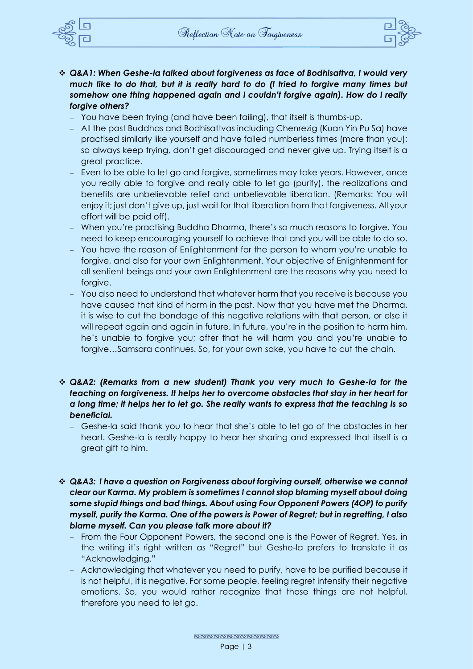

- 
- ❖ *Q&A1: When Geshe-la talked about forgiveness as face of Bodhisattva, I would very much like to do that, but it is really hard to do (I tried to forgive many times but somehow one thing happened again and I couldn't forgive again). How do I really forgive others?*
	- − You have been trying (and have been failing), that itself is thumbs-up.
	- − All the past Buddhas and Bodhisattvas including Chenrezig (Kuan Yin Pu Sa) have practised similarly like yourself and have failed numberless times (more than you); so always keep trying, don't get discouraged and never give up. Trying itself is a great practice.
	- Even to be able to let go and forgive, sometimes may take years. However, once you really able to forgive and really able to let go (purify), the realizations and benefits are unbelievable relief and unbelievable liberation. (Remarks: You will enjoy it; just don't give up, just wait for that liberation from that forgiveness. All your effort will be paid off).
	- − When you're practising Buddha Dharma, there's so much reasons to forgive. You need to keep encouraging yourself to achieve that and you will be able to do so.
	- − You have the reason of Enlightenment for the person to whom you're unable to forgive, and also for your own Enlightenment. Your objective of Enlightenment for all sentient beings and your own Enlightenment are the reasons why you need to forgive.
	- You also need to understand that whatever harm that you receive is because you have caused that kind of harm in the past. Now that you have met the Dharma, it is wise to cut the bondage of this negative relations with that person, or else it will repeat again and again in future. In future, you're in the position to harm him, he's unable to forgive you; after that he will harm you and you're unable to forgive…Samsara continues. So, for your own sake, you have to cut the chain.
- ❖ *Q&A2: (Remarks from a new student) Thank you very much to Geshe-la for the teaching on forgiveness. It helps her to overcome obstacles that stay in her heart for a long time; it helps her to let go. She really wants to express that the teaching is so beneficial.*
	- − Geshe-la said thank you to hear that she's able to let go of the obstacles in her heart. Geshe-la is really happy to hear her sharing and expressed that itself is a great gift to him.
- ❖ *Q&A3: I have a question on Forgiveness about forgiving ourself, otherwise we cannot clear our Karma. My problem is sometimes I cannot stop blaming myself about doing some stupid things and bad things. About using Four Opponent Powers (4OP) to purify myself, purify the Karma. One of the powers is Power of Regret; but in regretting, I also blame myself. Can you please talk more about it?* 
	- From the Four Opponent Powers, the second one is the Power of Regret. Yes, in the writing it's right written as "Regret" but Geshe-la prefers to translate it as "Acknowledging."
	- − Acknowledging that whatever you need to purify, have to be purified because it is not helpful, it is negative. For some people, feeling regret intensify their negative emotions. So, you would rather recognize that those things are not helpful, therefore you need to let go.